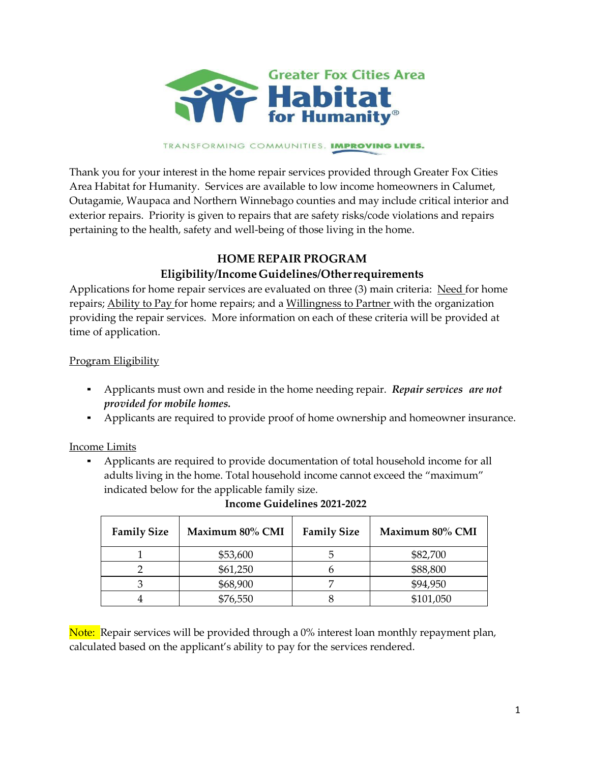

#### TRANSFORMING COMMUNITIES. IMPROVING LIVES.

Thank you for your interest in the home repair services provided through Greater Fox Cities Area Habitat for Humanity. Services are available to low income homeowners in Calumet, Outagamie, Waupaca and Northern Winnebago counties and may include critical interior and exterior repairs. Priority is given to repairs that are safety risks/code violations and repairs pertaining to the health, safety and well-being of those living in the home.

### **HOME REPAIR PROGRAM**

# **Eligibility/Income Guidelines/Other requirements**

Applications for home repair services are evaluated on three (3) main criteria: Need for home repairs; Ability to Pay for home repairs; and a Willingness to Partner with the organization providing the repair services. More information on each of these criteria will be provided at time of application.

### Program Eligibility

- Applicants must own and reside in the home needing repair. *Repair services are not provided for mobile homes.*
- Applicants are required to provide proof of home ownership and homeowner insurance.

### Income Limits

▪ Applicants are required to provide documentation of total household income for all adults living in the home. Total household income cannot exceed the "maximum" indicated below for the applicable family size.

| <b>Family Size</b> | Maximum 80% CMI | <b>Family Size</b> | Maximum 80% CMI |
|--------------------|-----------------|--------------------|-----------------|
|                    | \$53,600        |                    | \$82,700        |
|                    | \$61,250        |                    | \$88,800        |
|                    | \$68,900        |                    | \$94,950        |
|                    | \$76,550        |                    | \$101,050       |

### **Income Guidelines 2021-2022**

Note: Repair services will be provided through a 0% interest loan monthly repayment plan, calculated based on the applicant's ability to pay for the services rendered.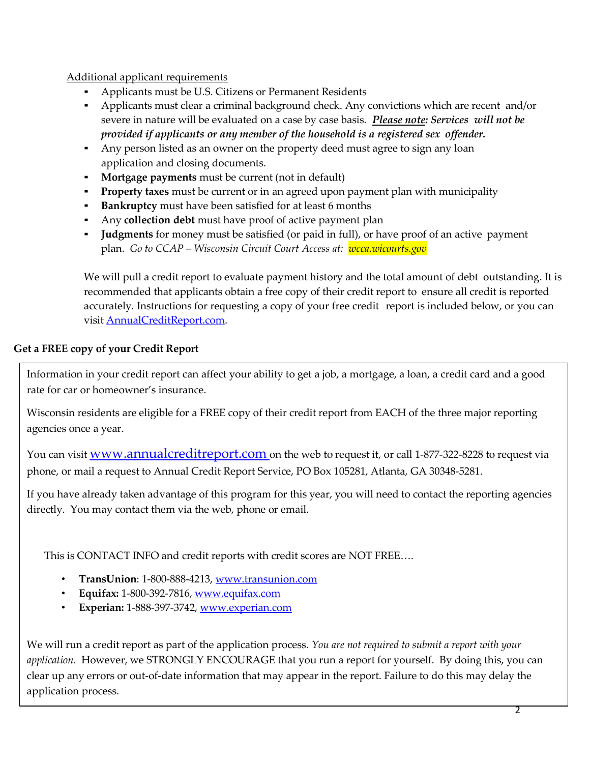Additional applicant requirements

- Applicants must be U.S. Citizens or Permanent Residents
- Applicants must clear a criminal background check. Any convictions which are recent and/or severe in nature will be evaluated on a case by case basis. *Please note: Services will not be provided if applicants or any member of the household is a registered sex offender.*
- Any person listed as an owner on the property deed must agree to sign any loan application and closing documents.
- **Mortgage payments** must be current (not in default)
- **Property taxes** must be current or in an agreed upon payment plan with municipality
- **Bankruptcy** must have been satisfied for at least 6 months
- Any **collection debt** must have proof of active payment plan
- **Judgments** for money must be satisfied (or paid in full), or have proof of an active payment plan. *Go to CCAP – Wisconsin Circuit Court Access at: wcca.wicourts.gov*

We will pull a credit report to evaluate payment history and the total amount of debt outstanding. It is recommended that applicants obtain a free copy of their credit report to ensure all credit is reported accurately. Instructions for requesting a copy of your free credit report is included below, or you can visit [AnnualCreditReport.com.](https://www.annualcreditreport.com/index.action)

# **Get a FREE copy of your Credit Report**

Information in your credit report can affect your ability to get a job, a mortgage, a loan, a credit card and a good rate for car or homeowner's insurance.

Wisconsin residents are eligible for a FREE copy of their credit report from EACH of the three major reporting agencies once a year.

You can visit **WWW.annualcreditreport.com** on the web to request it, or call 1-877-322-8228 to request via phone, or mail a request to Annual Credit Report Service, PO Box 105281, Atlanta, GA 30348-5281.

If you have already taken advantage of this program for this year, you will need to contact the reporting agencies directly. You may contact them via the web, phone or email.

This is CONTACT INFO and credit reports with credit scores are NOT FREE….

- **TransUnion**: 1-800-888-4213, [www.transunion.com](http://www.transunion.com/)
- **Equifax:** 1-800-392-7816, [www.equifax.com](http://www.equifax.com/)
- **Experian:** 1-888-397-3742, [www.experian.com](http://www.experian.com/)

We will run a credit report as part of the application process. *You are not required to submit a report with your application.* However, we STRONGLY ENCOURAGE that you run a report for yourself. By doing this, you can clear up any errors or out-of-date information that may appear in the report. Failure to do this may delay the application process.